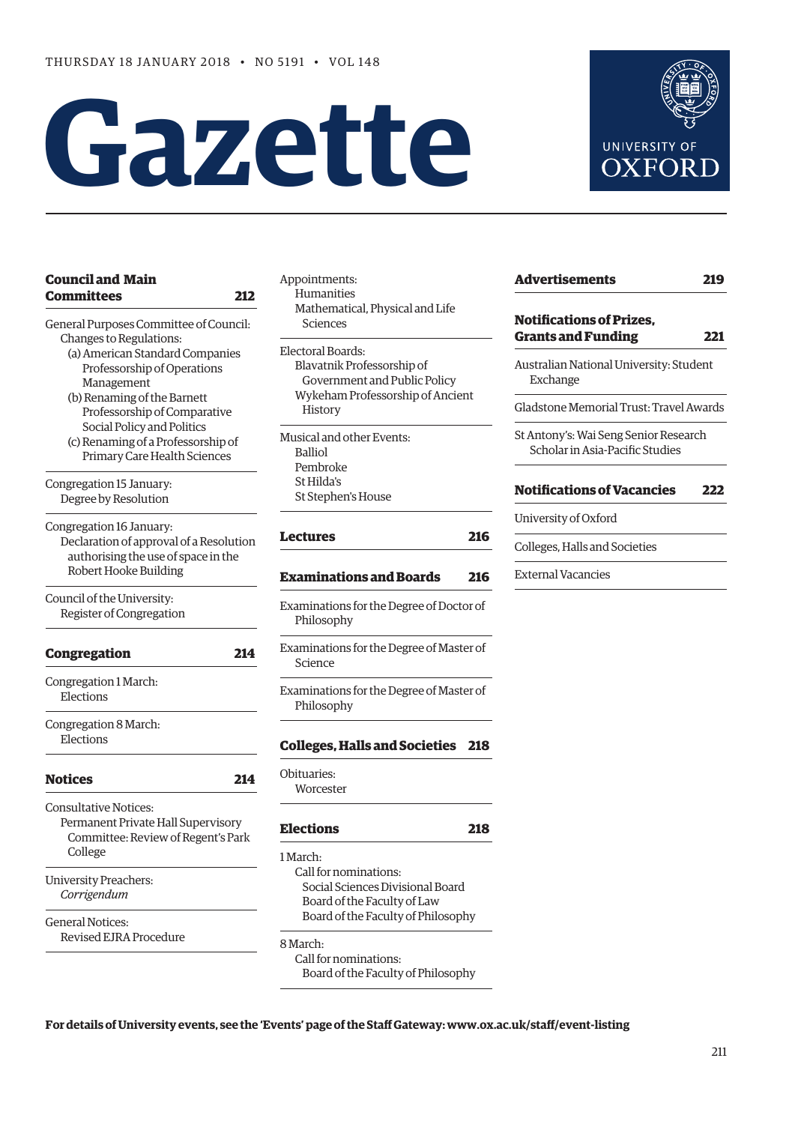# **Gazet te**



| <b>Council and Main</b>                 | Appoir         |
|-----------------------------------------|----------------|
| <b>Committees</b><br>212                | Hur            |
|                                         | Mat            |
| General Purposes Committee of Council:  | Sci            |
| Changes to Regulations:                 |                |
| (a) American Standard Companies         | Elector        |
| Professorship of Operations             | Blay           |
| Management                              | Gc             |
| (b) Renaming of the Barnett             | Wyl            |
| Professorship of Comparative            | Hi:            |
| Social Policy and Politics              | Musica         |
| (c) Renaming of a Professorship of      | Ball           |
| Primary Care Health Sciences            | Pen            |
|                                         | St H           |
| Congregation 15 January:                | St St          |
| Degree by Resolution                    |                |
| Congregation 16 January:                |                |
| Declaration of approval of a Resolution | Lectu          |
| authorising the use of space in the     |                |
| Robert Hooke Building                   | Exam           |
| Council of the University:              |                |
| Register of Congregation                | Examiı<br>Phil |
|                                         |                |
| 214<br><b>Congregation</b>              | Examiı         |
|                                         | Scie           |
| Congregation 1 March:<br>Elections      | Examiı         |
|                                         | Phil           |
| Congregation 8 March:                   |                |
| Elections                               | Colleg         |
|                                         | Obitua         |
| <b>Notices</b><br>214                   | Wor            |
| <b>Consultative Notices:</b>            |                |
| Permanent Private Hall Supervisory      | Electi         |
| Committee: Review of Regent's Park      |                |
| College                                 | 1 March        |
|                                         | Call           |
| University Preachers:                   | So             |
| Corrigendum                             | Bo             |
|                                         | Bo             |
| <b>General Notices:</b>                 |                |
| <b>Revised EJRA Procedure</b>           | 8 Marci        |
|                                         |                |

Appointments: nanities hematical, Physical and Life iences ral Boards: vatnik Professorship of overnment and Public Policy keham Professorship of Ancient story al and other Events: Balliol hbroke

Iilda's tephen's House

# **[Lectures](#page-5-0) 216**

# **[Examinations and Boards 216](#page-5-0)**

nations for the Degree of Doctor of losophy nations for the Degree of Master of Science nations for the Degree of Master of losophy

# **[Colleges, Halls and Societies 218](#page-7-0)**

ries: rcester

# **[Elections](#page-7-0) 218**

h. for nominations: cial Sciences Divisional Board ard of the Faculty of Law ard of the Faculty of Philosophy

h:

Call for nominations: Board of the Faculty of Philosophy

| <b>Advertisements</b>                                                    | 219 |
|--------------------------------------------------------------------------|-----|
| <b>Notifications of Prizes,</b><br><b>Grants and Funding</b>             | 221 |
| Australian National University: Student<br>Exchange                      |     |
| Gladstone Memorial Trust: Travel Awards                                  |     |
| St Antony's: Wai Seng Senior Research<br>Scholar in Asia-Pacific Studies |     |
| <b>Notifications of Vacancies</b>                                        | 222 |
| University of Oxford                                                     |     |
| Colleges, Halls and Societies                                            |     |
| External Vacancies                                                       |     |

**For details of University events, see the 'Events' page of the Staff Gateway: [www.ox.ac.uk/staff/event-listing](http://www.ox.ac.uk/staff/event-listing)**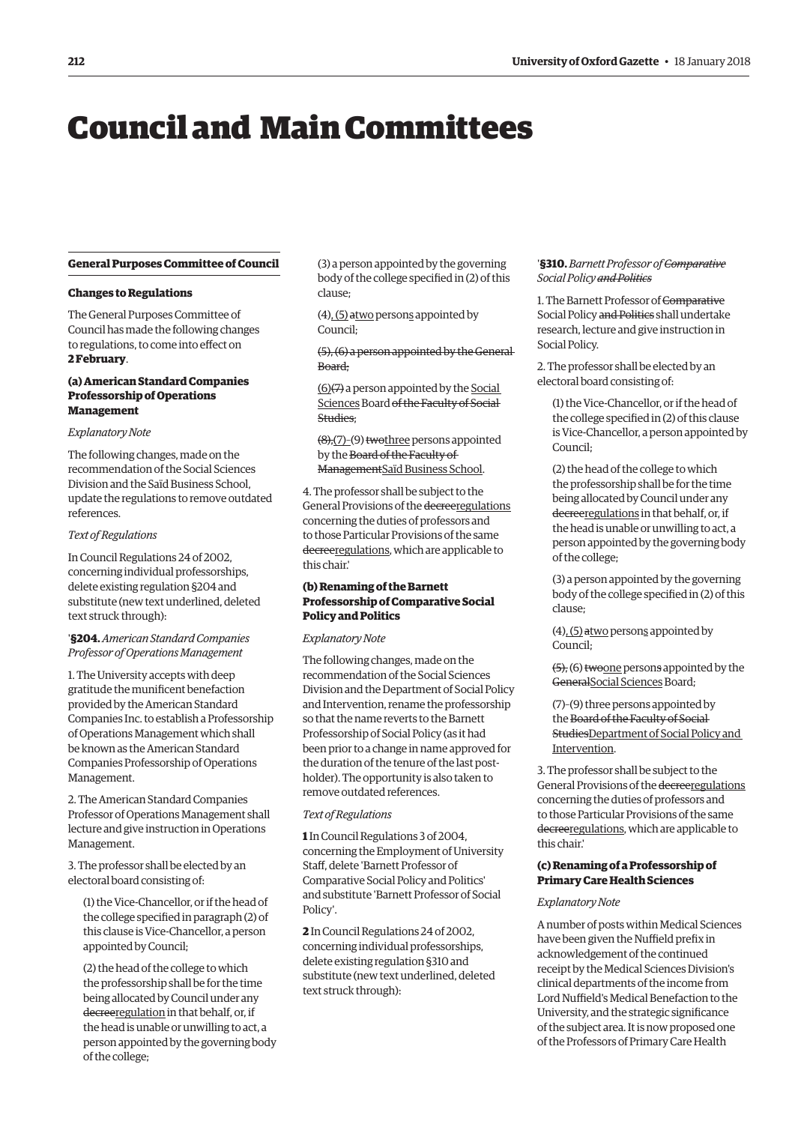# <span id="page-1-0"></span>Council and Main Committees

### **General Purposes Committee of Council**

#### **Changes to Regulations**

The General Purposes Committee of Council has made the following changes to regulations, to come into effect on **2 February**.

# **(a) American Standard Companies Professorship of Operations Management**

# *Explanatory Note*

The following changes, made on the recommendation of the Social Sciences Division and the Saïd Business School, update the regulations to remove outdated references.

# *Text of Regulations*

In Council Regulations 24 of 2002, concerning individual professorships, delete existing regulation §204 and substitute (new text underlined, deleted text struck through):

## '**§204.***American Standard Companies Professor of Operations Management*

1. The University accepts with deep gratitude the munificent benefaction provided by the American Standard Companies Inc. to establish a Professorship of Operations Management which shall be known as the American Standard Companies Professorship of Operations Management.

2. The American Standard Companies Professor of Operations Management shall lecture and give instruction in Operations Management.

3. The professor shall be elected by an electoral board consisting of:

(1) the Vice-Chancellor, or if the head of the college specified in paragraph (2) of this clause is Vice-Chancellor, a person appointed by Council;

(2) the head of the college to which the professorship shall be for the time being allocated by Council under any decreeregulation in that behalf, or, if the head is unable or unwilling to act, a person appointed by the governing body of the college;

(3) a person appointed by the governing body of the college specified in (2) of this clause;

(4), (5) atwo persons appointed by Council;

(5), (6) a person appointed by the General Board;

(6)(7) a person appointed by the Social Sciences Board of the Faculty of Social Studies;

(8),(7)–(9) twothree persons appointed by the Board of the Faculty of ManagementSaïd Business School.

4. The professor shall be subject to the General Provisions of the decreeregulations concerning the duties of professors and to those Particular Provisions of the same decreeregulations, which are applicable to this chair.'

# **(b) Renaming of the Barnett Professorship of Comparative Social Policy and Politics**

### *Explanatory Note*

The following changes, made on the recommendation of the Social Sciences Division and the Department of Social Policy and Intervention, rename the professorship so that the name reverts to the Barnett Professorship of Social Policy (as it had been prior to a change in name approved for the duration of the tenure of the last postholder). The opportunity is also taken to remove outdated references.

### *Text of Regulations*

**1** In Council Regulations 3 of 2004, concerning the Employment of University Staff, delete 'Barnett Professor of Comparative Social Policy and Politics' and substitute 'Barnett Professor of Social Policy'.

**2** In Council Regulations 24 of 2002, concerning individual professorships, delete existing regulation §310 and substitute (new text underlined, deleted text struck through):

## '**§310.** *Barnett Professor of Comparative Social Policy and Politics*

1. The Barnett Professor of Comparative Social Policy and Politics shall undertake research, lecture and give instruction in Social Policy.

2. The professor shall be elected by an electoral board consisting of:

(1) the Vice-Chancellor, or if the head of the college specified in (2) of this clause is Vice-Chancellor, a person appointed by Council;

(2) the head of the college to which the professorship shall be for the time being allocated by Council under any decreeregulations in that behalf, or, if the head is unable or unwilling to act, a person appointed by the governing body of the college;

(3) a person appointed by the governing body of the college specified in (2) of this clause;

(4), (5) atwo persons appointed by Council;

(5), (6) twoone persons appointed by the GeneralSocial Sciences Board;

(7)–(9) three persons appointed by the Board of the Faculty of Social StudiesDepartment of Social Policy and Intervention.

3. The professor shall be subject to the General Provisions of the decreeregulations concerning the duties of professors and to those Particular Provisions of the same decreeregulations, which are applicable to this chair.'

# **(c) Renaming of a Professorship of Primary Care Health Sciences**

# *Explanatory Note*

A number of posts within Medical Sciences have been given the Nuffield prefix in acknowledgement of the continued receipt by the Medical Sciences Division's clinical departments of the income from Lord Nuffield's Medical Benefaction to the University, and the strategic significance of the subject area. It is now proposed one of the Professors of Primary Care Health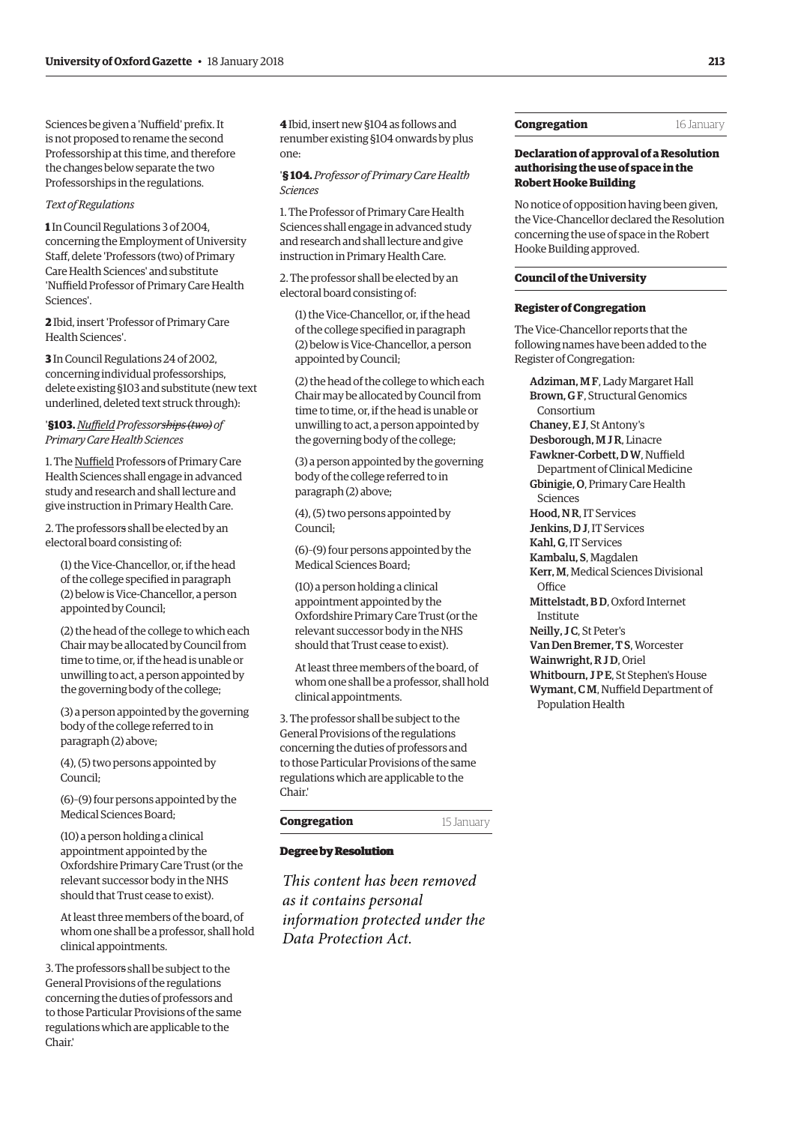Sciences be given a 'Nuffield' prefix. It is not proposed to rename the second Professorship at this time, and therefore the changes below separate the two Professorships in the regulations.

#### *Text of Regulations*

**1** In Council Regulations 3 of 2004, concerning the Employment of University Staff, delete 'Professors (two) of Primary Care Health Sciences' and substitute 'Nuffield Professor of Primary Care Health Sciences'.

**2** Ibid, insert 'Professor of Primary Care Health Sciences'.

**3** In Council Regulations 24 of 2002, concerning individual professorships, delete existing §103 and substitute (new text underlined, deleted text struck through):

# '**§103.***Nuffield Professorships (two) of Primary Care Health Sciences*

1. The Nuffield Professors of Primary Care Health Sciences shall engage in advanced study and research and shall lecture and give instruction in Primary Health Care.

2. The professors shall be elected by an electoral board consisting of:

(1) the Vice-Chancellor, or, if the head of the college specified in paragraph (2) below is Vice-Chancellor, a person appointed by Council;

(2) the head of the college to which each Chair may be allocated by Council from time to time, or, if the head is unable or unwilling to act, a person appointed by the governing body of the college;

(3) a person appointed by the governing body of the college referred to in paragraph (2) above;

(4), (5) two persons appointed by Council;

(6)–(9) four persons appointed by the Medical Sciences Board;

(10) a person holding a clinical appointment appointed by the Oxfordshire Primary Care Trust (or the relevant successor body in the NHS should that Trust cease to exist).

At least three members of the board, of whom one shall be a professor, shall hold clinical appointments.

3. The professors shall be subject to the General Provisions of the regulations concerning the duties of professors and to those Particular Provisions of the same regulations which are applicable to the Chair.'

**4** Ibid, insert new §104 as follows and renumber existing §104 onwards by plus one:

'**§ 104.** *Professor of Primary Care Health Sciences*

1. The Professor of Primary Care Health Sciences shall engage in advanced study and research and shall lecture and give instruction in Primary Health Care.

2. The professor shall be elected by an electoral board consisting of:

(1) the Vice-Chancellor, or, if the head of the college specified in paragraph (2) below is Vice-Chancellor, a person appointed by Council;

(2) the head of the college to which each Chair may be allocated by Council from time to time, or, if the head is unable or unwilling to act, a person appointed by the governing body of the college;

(3) a person appointed by the governing body of the college referred to in paragraph (2) above;

(4), (5) two persons appointed by Council;

(6)–(9) four persons appointed by the Medical Sciences Board;

(10) a person holding a clinical appointment appointed by the Oxfordshire Primary Care Trust (or the relevant successor body in the NHS should that Trust cease to exist).

At least three members of the board, of whom one shall be a professor, shall hold clinical appointments.

3. The professor shall be subject to the General Provisions of the regulations concerning the duties of professors and to those Particular Provisions of the same regulations which are applicable to the Chair.'

# **Congregation** 15 January

#### **Degree by Resolution Degree by Resolution**

*This content has been removed as it contains personal information protected under the Data Protection Act.*

# **Congregation** 16 January

**Declaration of approval of a Resolution authorising the use of space in the Robert Hooke Building**

No notice of opposition having been given, the Vice-Chancellor declared the Resolution concerning the use of space in the Robert Hooke Building approved.

# **Council of the University**

# **Register of Congregation**

The Vice-Chancellor reports that the following names have been added to the Register of Congregation:

Adziman, M F, Lady Margaret Hall Brown, G F, Structural Genomics Consortium Chaney, E J, St Antony's Desborough, M J R, Linacre Fawkner-Corbett, D W, Nuffield Department of Clinical Medicine Gbinigie, O, Primary Care Health Sciences Hood, N R, IT Services Jenkins, D J, IT Services Kahl, G, IT Services Kambalu, S, Magdalen Kerr, M, Medical Sciences Divisional **Office** Mittelstadt, B D, Oxford Internet Institute Neilly, J C, St Peter's Van Den Bremer, T S, Worcester Wainwright, R J D, Oriel Whitbourn, JPE, St Stephen's House Wymant, C M, Nuffield Department of Population Health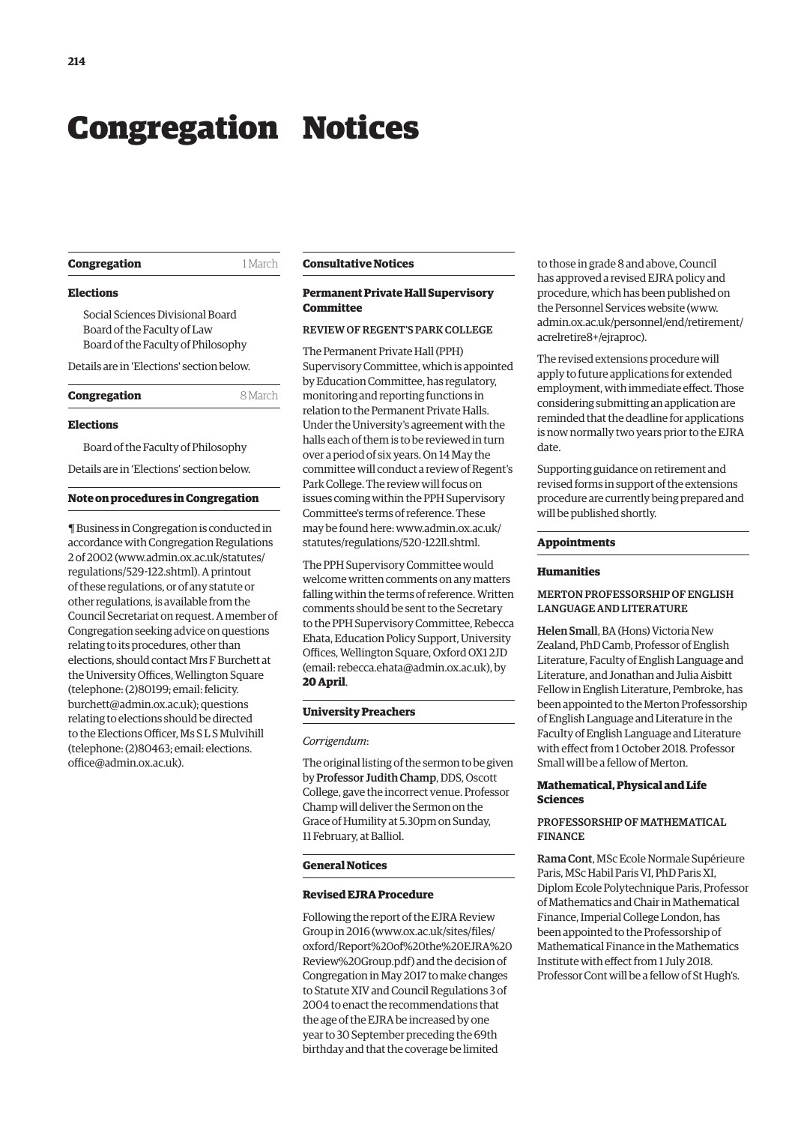# <span id="page-3-0"></span>Congregation Notices

| Congregation |  |  |  |
|--------------|--|--|--|
|--------------|--|--|--|

**Congregation** 1 March

#### **Elections**

Social Sciences Divisional Board Board of the Faculty of Law Board of the Faculty of Philosophy

Details are in 'Elections' section below.

| 8 March<br>Congregation |  |
|-------------------------|--|
|-------------------------|--|

#### **Elections**

Board of the Faculty of Philosophy

Details are in 'Elections' section below.

#### **Note on procedures in Congregation**

¶ Business in Congregation is conducted in accordance with Congregation Regulations 2 of 2002 [\(www.admin.ox.ac.uk/statutes/](http://www.admin.ox.ac.uk/statutes/regulations/529-122.shtml) [regulations/529-122.shtml\). A](http://www.admin.ox.ac.uk/statutes/regulations/529-122.shtml) printout of these regulations, or of any statute or other regulations, is available from the Council Secretariat on request. A member of Congregation seeking advice on questions relating to its procedures, other than elections, should contact Mrs F Burchett at the University Offices, Wellington Square [\(telephone: \(2\)80199; email: felicity.](mailto:felicity.burchett@admin.ox.ac.uk) burchett@admin.ox.ac.uk); questions relating to elections should be directed to the Elections Officer, Ms S L S Mulvihill [\(telephone: \(2\)80463; email: elections.](mailto:elections.office@admin.ox.ac.uk) office@admin.ox.ac.uk).

#### **Consultative Notices**

# **Permanent Private Hall Supervisory Committee**

# REVIEW OF REGENT'S PARK COLLEGE

The Permanent Private Hall (PPH) Supervisory Committee, which is appointed by Education Committee, has regulatory, monitoring and reporting functions in relation to the Permanent Private Halls. Under the University's agreement with the halls each of them is to be reviewed in turn over a period of six years. On 14 May the committee will conduct a review of Regent's Park College. The review will focus on issues coming within the PPH Supervisory Committee's terms of reference. These [may be found here: www.admin.ox.ac.uk/](www.admin.ox.ac.uk/statutes/regulations/520-12211.shtml) statutes/regulations/520-122ll.shtml.

The PPH Supervisory Committee would welcome written comments on any matters falling within the terms of reference. Written comments should be sent to the Secretary to the PPH Supervisory Committee, Rebecca Ehata, Education Policy Support, University Offices, Wellington Square, Oxford OX1 2JD (email: [rebecca.ehata@admin.ox.ac.uk\), by](mailto:rebecca.ehata@admin.ox.ac.uk) **20 April**.

# **University Preachers**

#### *Corrigendum*:

The original listing of the sermon to be given by Professor Judith Champ, DDS, Oscott College, gave the incorrect venue. Professor Champ will deliver the Sermon on the Grace of Humility at 5.30pm on Sunday, 11 February, at Balliol.

#### **General Notices**

### **Revised EJRA Procedure**

Following the report of the EJRA Review Group in 2016 [\(www.ox.ac.uk/sites/files/](http://www.ox.ac.uk/sites/files/oxford/Report%20of%20the%20EJRA%20Review%20Group.pdf) [oxford/Report%20of%20the%20EJRA%20](http://www.ox.ac.uk/sites/files/oxford/Report%20of%20the%20EJRA%20Review%20Group.pdf) [Review%20Group.pdf\) an](http://www.ox.ac.uk/sites/files/oxford/Report%20of%20the%20EJRA%20Review%20Group.pdf)d the decision of Congregation in May 2017 to make changes to Statute XIV and Council Regulations 3 of 2004 to enact the recommendations that the age of the EJRA be increased by one year to 30 September preceding the 69th birthday and that the coverage be limited

to those in grade 8 and above, Council has approved a revised EJRA policy and procedure, which has been published on the Personnel Services website [\(www.](http://www.admin.ox.ac.uk/personnel/end/retirement/acrelretire8+/ejraproc) [admin.ox.ac.uk/personnel/end/retirement/](http://www.admin.ox.ac.uk/personnel/end/retirement/acrelretire8+/ejraproc) [acrelretire8+/ejraproc\).](http://www.admin.ox.ac.uk/personnel/end/retirement/acrelretire8+/ejraproc) 

The revised extensions procedure will apply to future applications for extended employment, with immediate effect. Those considering submitting an application are reminded that the deadline for applications is now normally two years prior to the EJRA date.

Supporting guidance on retirement and revised forms in support of the extensions procedure are currently being prepared and will be published shortly.

#### **Appointments**

### **Humanities**

# MERTON PROFESSORSHIP OF ENGLISH LANGUAGE AND LITERATURE

Helen Small, BA (Hons) Victoria New Zealand, PhD Camb, Professor of English Literature, Faculty of English Language and Literature, and Jonathan and Julia Aisbitt Fellow in English Literature, Pembroke, has been appointed to the Merton Professorship of English Language and Literature in the Faculty of English Language and Literature with effect from 1 October 2018. Professor Small will be a fellow of Merton.

# **Mathematical, Physical and Life Sciences**

# PROFESSORSHIP OF MATHEMATICAL FINANCE

Rama Cont, MSc Ecole Normale Supérieure Paris, MSc Habil Paris VI, PhD Paris XI, Diplom Ecole Polytechnique Paris, Professor of Mathematics and Chair in Mathematical Finance, Imperial College London, has been appointed to the Professorship of Mathematical Finance in the Mathematics Institute with effect from 1 July 2018. Professor Cont will be a fellow of St Hugh's.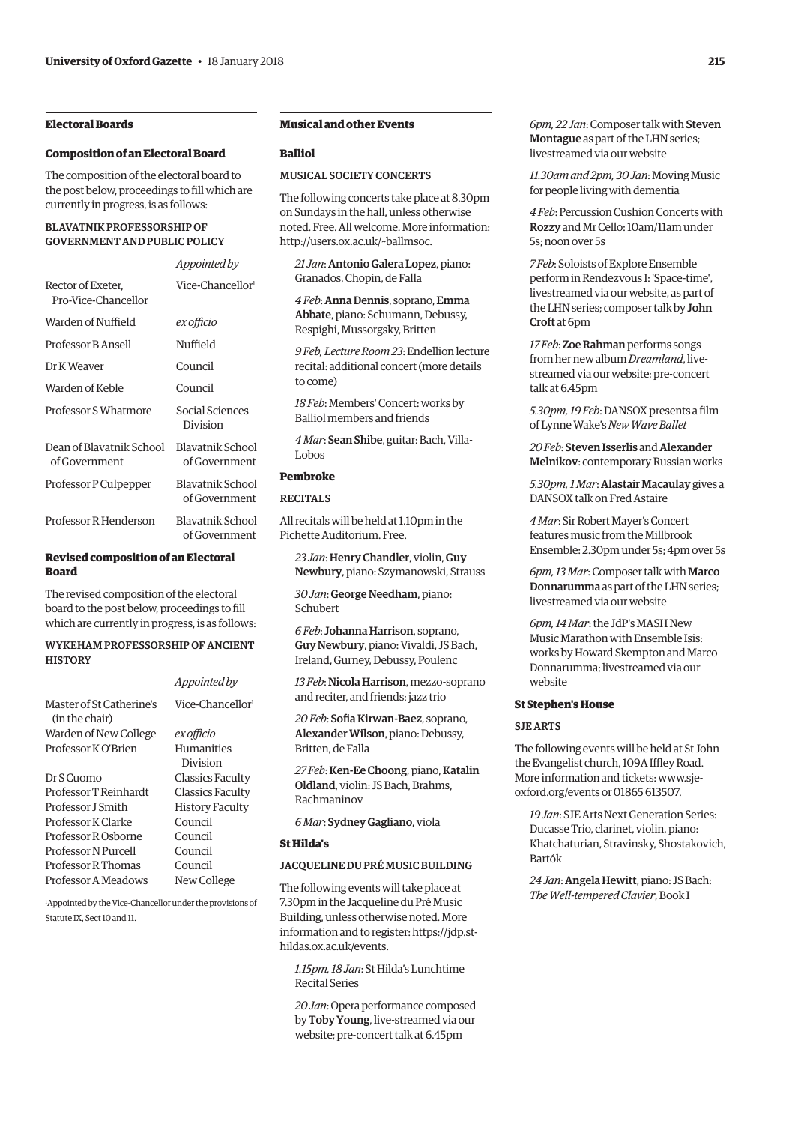# **Electoral Boards**

#### **Composition of an Electoral Board**

The composition of the electoral board to the post below, proceedings to fill which are currently in progress, is as follows:

*Appointed by*

# BLAVATNIK PROFESSORSHIP OF GOVERNMENT AND PUBLIC POLICY

|                                           | Appointed by                      |
|-------------------------------------------|-----------------------------------|
| Rector of Exeter,<br>Pro-Vice-Chancellor  | Vice-Chancellor <sup>1</sup>      |
| Warden of Nuffield                        | ex officio                        |
| Professor B Ansell                        | Nuffield                          |
| Dr K Weaver                               | Council                           |
| Warden of Keble                           | Council                           |
| Professor S Whatmore                      | Social Sciences<br>Division       |
| Dean of Blavatnik School<br>of Government | Blavatnik School<br>of Government |
| Professor P Culpepper                     | Blavatnik School<br>of Government |
| Professor R Henderson                     | Blavatnik School<br>of Government |

# **Revised composition of an Electoral Board**

The revised composition of the electoral board to the post below, proceedings to fill which are currently in progress, is as follows:

# WYKEHAM PROFESSORSHIP OF ANCIENT **HISTORY**

|                                            | Appointed by                 |
|--------------------------------------------|------------------------------|
| Master of St Catherine's<br>(in the chair) | Vice-Chancellor <sup>1</sup> |
| Warden of New College                      | ex officio                   |
| Professor K O'Brien                        | Humanities                   |
|                                            | Division                     |
| Dr S Cuomo                                 | Classics Faculty             |
| Professor T Reinhardt                      | Classics Faculty             |
| Professor J Smith                          | History Faculty              |
| Professor K Clarke                         | Council                      |
| Professor R Osborne                        | Council                      |
| Professor N Purcell                        | Council                      |
| Professor R Thomas                         | Council                      |
| Professor A Meadows                        | New College                  |

1 Appointed by the Vice-Chancellor under the provisions of Statute IX, Sect 10 and 11.

# **Musical and other Events**

# **Balliol**

## MUSICAL SOCIETY CONCERTS

The following concerts take place at 8.30pm on Sundays in the hall, unless otherwise noted. Free. All welcome. More information: [http://users.ox.ac.uk/~ballmsoc.](http://users.ox.ac.uk/~ballmsoc)

*21 Jan*: Antonio Galera Lopez, piano: Granados, Chopin, de Falla

*4 Feb*: Anna Dennis, soprano, Emma Abbate, piano: Schumann, Debussy, Respighi, Mussorgsky, Britten

*9 Feb, Lecture Room 23*: Endellion lecture recital: additional concert (more details to come)

*18 Feb*: Members' Concert: works by Balliol members and friends

*4 Mar*: Sean Shibe, guitar: Bach, Villa-Lobos

# **Pembroke**

#### RECITALS

All recitals will be held at 1.10pm in the Pichette Auditorium. Free.

*23 Jan*: Henry Chandler, violin, Guy Newbury, piano: Szymanowski, Strauss

*30 Jan*: George Needham, piano: Schubert

*6 Feb*: Johanna Harrison, soprano, Guy Newbury, piano: Vivaldi, JS Bach, Ireland, Gurney, Debussy, Poulenc

*13 Feb*: Nicola Harrison, mezzo-soprano and reciter, and friends: jazz trio

*20 Feb*: Sofia Kirwan-Baez, soprano, Alexander Wilson, piano: Debussy, Britten, de Falla

*27 Feb*: Ken-Ee Choong, piano, Katalin Oldland, violin: JS Bach, Brahms, Rachmaninov

*6 Mar*: Sydney Gagliano, viola

#### **St Hilda's**

## JACQUELINE DU PRÉ MUSIC BUILDING

The following events will take place at 7.30pm in the Jacqueline du Pré Music Building, unless otherwise noted. More [information and to register: https://jdp.st](https://jdp.st-hildas.ox.ac.uk/events)hildas.ox.ac.uk/events.

*1.15pm, 18 Jan*: St Hilda's Lunchtime Recital Series

*20 Jan*: Opera performance composed by Toby Young, live-streamed via our website; pre-concert talk at 6.45pm

*6pm, 22 Jan*: Composer talk with Steven Montague as part of the LHN series; livestreamed via our website

*11.30am and 2pm, 30 Jan*: Moving Music for people living with dementia

*4 Feb*: Percussion Cushion Concerts with Rozzy and Mr Cello: 10am/11am under 5s; noon over 5s

*7 Feb*: Soloists of Explore Ensemble perform in Rendezvous I: 'Space-time', livestreamed via our website, as part of the LHN series; composer talk by John Croft at 6pm

*17 Feb*: Zoe Rahman performs songs from her new album *Dreamland*, livestreamed via our website; pre-concert talk at 6.45pm

*5.30pm, 19 Feb*: DANSOX presents a film of Lynne Wake's *New Wave Ballet*

*20 Feb*: Steven Isserlis and Alexander Melnikov: contemporary Russian works

*5.30pm, 1 Mar*: Alastair Macaulay gives a DANSOX talk on Fred Astaire

*4 Mar*: Sir Robert Mayer's Concert features music from the Millbrook Ensemble: 2.30pm under 5s; 4pm over 5s

*6pm, 13 Mar*: Composer talk with Marco Donnarumma as part of the LHN series; livestreamed via our website

*6pm, 14 Mar*: the JdP's MASH New Music Marathon with Ensemble Isis: works by Howard Skempton and Marco Donnarumma; livestreamed via our website

#### **St Stephen's House**

#### SJE ARTS

The following events will be held at St John the Evangelist church, 109A Iffley Road. [More information and tickets: www.sje](www.sje-oxford.org/events)oxford.org/events or 01865 613507.

*19 Jan*: SJE Arts Next Generation Series: Ducasse Trio, clarinet, violin, piano: Khatchaturian, Stravinsky, Shostakovich, Bartók

*24 Jan*: Angela Hewitt, piano: JS Bach: *The Well-tempered Clavier*, Book I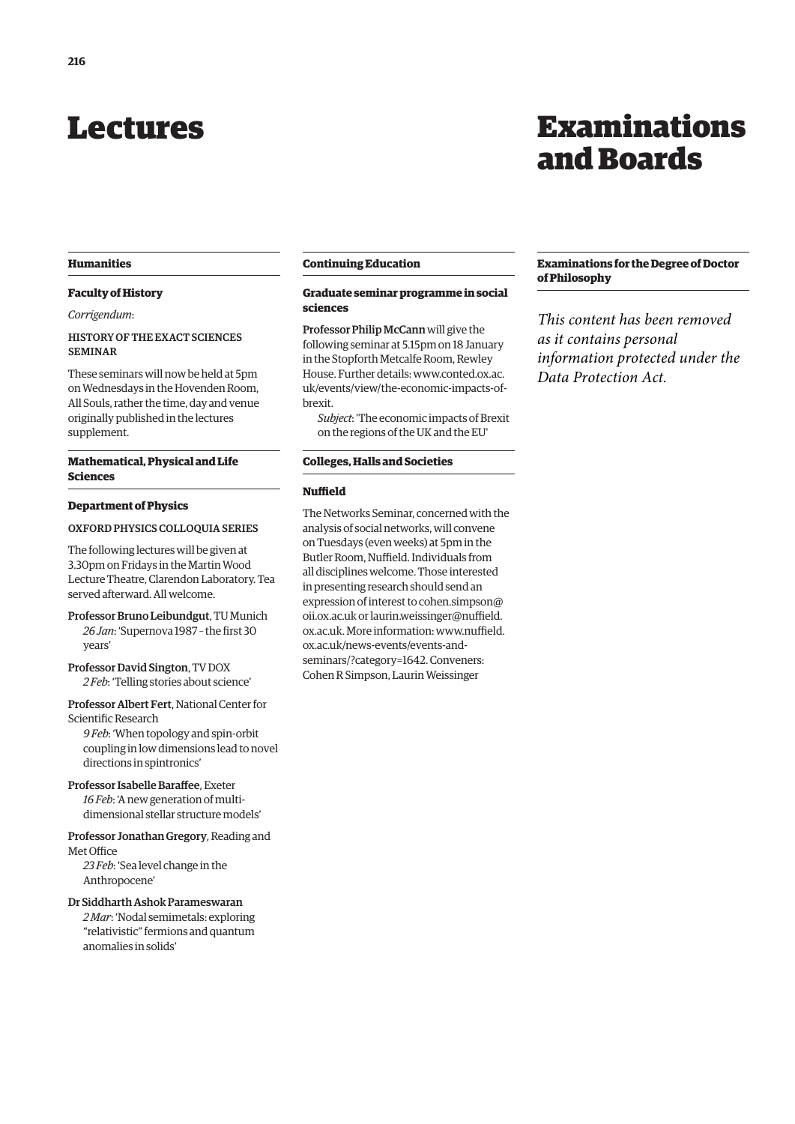# <span id="page-5-0"></span>Lectures

# Examinations and Boards

## **Humanities**

# **Faculty of History**

## *Corrigendum*:

# HISTORY OF THE EXACT SCIENCES SEMINAR

These seminars will now be held at 5pm on Wednesdays in the Hovenden Room, All Souls, rather the time, day and venue originally published in the lectures supplement.

# **Mathematical, Physical and Life Sciences**

# **Department of Physics**

# OXFORD PHYSICS COLLOQUIA SERIES

The following lectures will be given at 3.30pm on Fridays in the Martin Wood Lecture Theatre, Clarendon Laboratory. Tea served afterward. All welcome.

Professor Bruno Leibundgut, TU Munich *26 Jan*: 'Supernova 1987 – the first 30 years'

Professor David Sington, TV DOX *2 Feb*: 'Telling stories about science'

Professor Albert Fert, National Center for Scientific Research

*9 Feb*: 'When topology and spin-orbit coupling in low dimensions lead to novel directions in spintronics'

Professor Isabelle Baraffee, Exeter *16 Feb*: 'A new generation of multidimensional stellar structure models'

Professor Jonathan Gregory, Reading and Met Office

*23 Feb*: 'Sea level change in the Anthropocene'

Dr Siddharth Ashok Parameswaran *2 Mar*: 'Nodal semimetals: exploring "relativistic" fermions and quantum anomalies in solids'

#### **Continuing Education**

# **Graduate seminar programme in social sciences**

Professor Philip McCann will give the following seminar at 5.15pm on 18 January in the Stopforth Metcalfe Room, Rewley House. Further details: www.conted.ox.ac. [uk/events/view/the-economic-impacts-of](www.conted.ox.ac.uk/events/view/the-economic-impacts-of-brexit)brexit.

*Subject*: 'The economic impacts of Brexit on the regions of the UK and the EU'

# **Colleges, Halls and Societies**

# **Nuffield**

The Networks Seminar, concerned with the analysis of social networks, will convene on Tuesdays (even weeks) at 5pm in the Butler Room, Nuffield. Individuals from all disciplines welcome. Those interested in presenting research should send an expression of interes[t to cohen.simpson@](mailto:cohen.simpson@oii.ox.ac.uk) oii.ox.ac.uk [or laurin.weissinger@nuffield.](mailto:laurin.weissinger@nuffield.ox.ac.uk) ox.ac.uk. More information: www.nuffield. ox.ac.uk/news-events/events-and[seminars/?category=1642. Conveners:](www.nuffield.ox.ac.uk/news-events/events-and-seminars/?category=1642)  Cohen R Simpson, Laurin Weissinger

# **Examinations for the Degree of Doctor of Philosophy**

*This content has been removed as it contains personal information protected under the Data Protection Act.*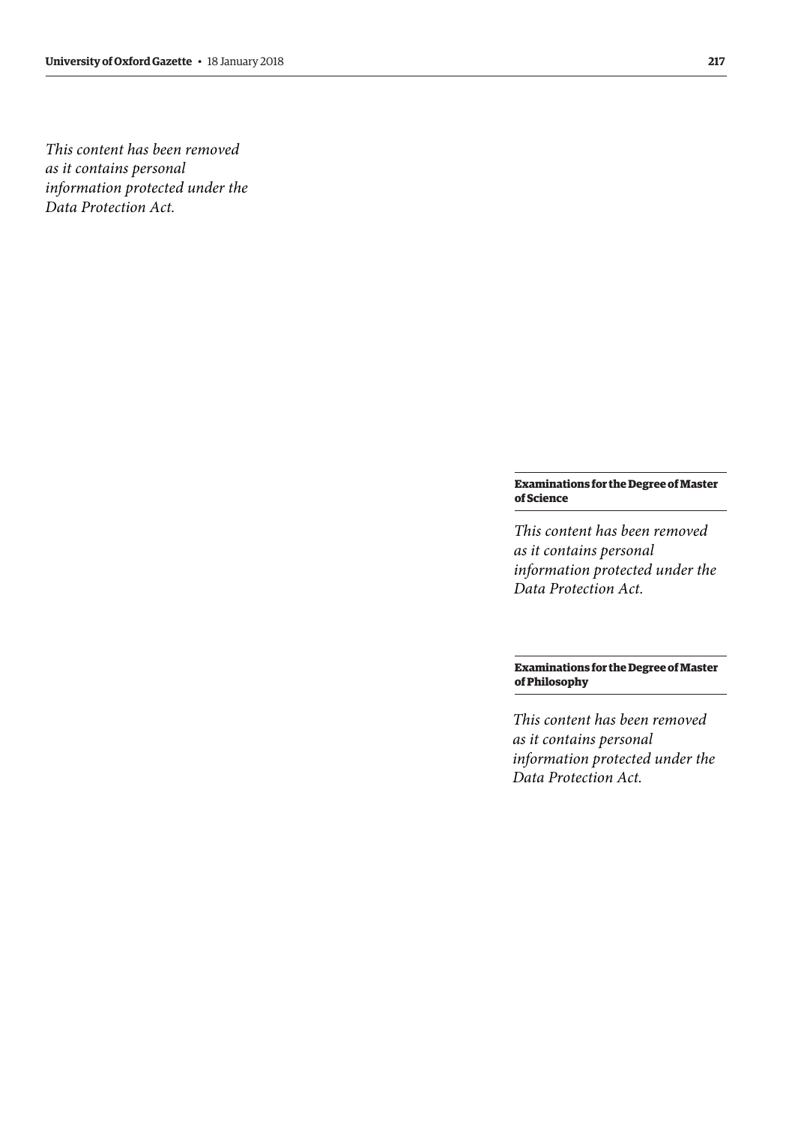*This content has been removed as it contains personal information protected under the Data Protection Act.*

# **Examinations for the Degree of Master of Science**

*This content has been removed as it contains personal information protected under the Data Protection Act.*

# **Examinations for the Degree of Master of Philosophy**

*This content has been removed as it contains personal information protected under the Data Protection Act.*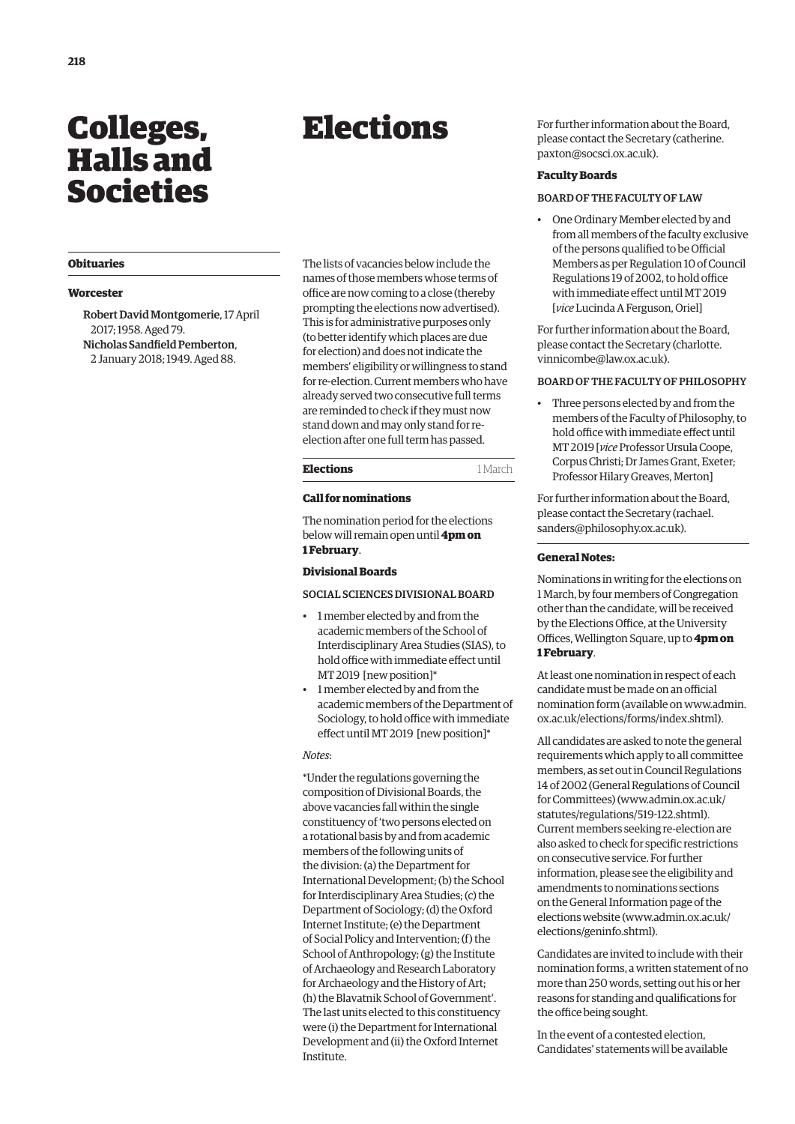# <span id="page-7-0"></span>Colleges, Halls and Societies

# **Obituaries**

# **Worcester**

Robert David Montgomerie, 17 April 2017; 1958. Aged 79. Nicholas Sandfield Pemberton, 2 January 2018; 1949. Aged 88.

The lists of vacancies below include the names of those members whose terms of office are now coming to a close (thereby prompting the elections now advertised). This is for administrative purposes only (to better identify which places are due for election) and does not indicate the members' eligibility or willingness to stand for re-election. Current members who have already served two consecutive full terms are reminded to check if they must now stand down and may only stand for reelection after one full term has passed.

Elections

#### **Call for nominations**

The nomination period for the elections below will remain open until **4pm on 1 February**.

#### **Divisional Boards**

SOCIAL SCIENCES DIVISIONAL BOARD

- 1 member elected by and from the academic members of the School of Interdisciplinary Area Studies (SIAS), to hold office with immediate effect until MT 2019 [new position]\*
- 1 member elected by and from the academic members of the Department of Sociology, to hold office with immediate effect until MT 2019 [new position]\*

## *Notes*:

\*Under the regulations governing the composition of Divisional Boards, the above vacancies fall within the single constituency of 'two persons elected on a rotational basis by and from academic members of the following units of the division: (a) the Department for International Development; (b) the School for Interdisciplinary Area Studies; (c) the Department of Sociology; (d) the Oxford Internet Institute; (e) the Department of Social Policy and Intervention; (f) the School of Anthropology; (g) the Institute of Archaeology and Research Laboratory for Archaeology and the History of Art; (h) the Blavatnik School of Government'. The last units elected to this constituency were (i) the Department for International Development and (ii) the Oxford Internet Institute.

For further information about the Board, [please contact the Secretary \(catherine.](mailto:catherine.paxton@socsci.ox.ac.uk) paxton@socsci.ox.ac.uk).

#### **Faculty Boards**

# BOARD OF THE FACULTY OF LAW

• One Ordinary Member elected by and from all members of the faculty exclusive of the persons qualified to be Official Members as per Regulation 10 of Council Regulations 19 of 2002, to hold office with immediate effect until MT 2019 [*vice* Lucinda A Ferguson, Oriel]

For further information about the Board, [please contact the Secretary \(charlotte.](mailto:charlotte.vinnicombe@law.ox.ac.uk) vinnicombe@law.ox.ac.uk).

#### BOARD OF THE FACULTY OF PHILOSOPHY

• Three persons elected by and from the members of the Faculty of Philosophy, to hold office with immediate effect until MT 2019 [*vice* Professor Ursula Coope, Corpus Christi; Dr James Grant, Exeter; Professor Hilary Greaves, Merton]

For further information about the Board, [please contact the Secretary \(rachael.](mailto:rachael.sanders@philosophy.ox.ac.uk) sanders@philosophy.ox.ac.uk).

## **General Notes:**

Nominations in writing for the elections on 1 March, by four members of Congregation other than the candidate, will be received by the Elections Office, at the University Offices, Wellington Square, up to **4pm on 1 February**.

At least one nomination in respect of each candidate must be made on an official [nomination form \(available on www.admin.](www.admin.ox.ac.uk/elections/forms/index.shtml) ox.ac.uk/elections/forms/index.shtml).

All candidates are asked to note the general requirements which apply to all committee members, as set out in Council Regulations 14 of 2002 (General Regulations of Council for Committees) ([www.admin.ox.ac.uk/](http://www.admin.ox.ac.uk/statutes/regulations/519-122.shtml) [statutes/regulations/519-122.shtml\).](http://www.admin.ox.ac.uk/statutes/regulations/519-122.shtml)  Current members seeking re-election are also asked to check for specific restrictions on consecutive service. For further information, please see the eligibility and amendments to nominations sections on the General Information page of the elections website ([www.admin.ox.ac.uk/](http://www.admin.ox.ac.uk/elections/geninfo.shtml) [elections/geninfo.shtml\).](http://www.admin.ox.ac.uk/elections/geninfo.shtml)

Candidates are invited to include with their nomination forms, a written statement of no more than 250 words, setting out his or her reasons for standing and qualifications for the office being sought.

In the event of a contested election, Candidates' statements will be available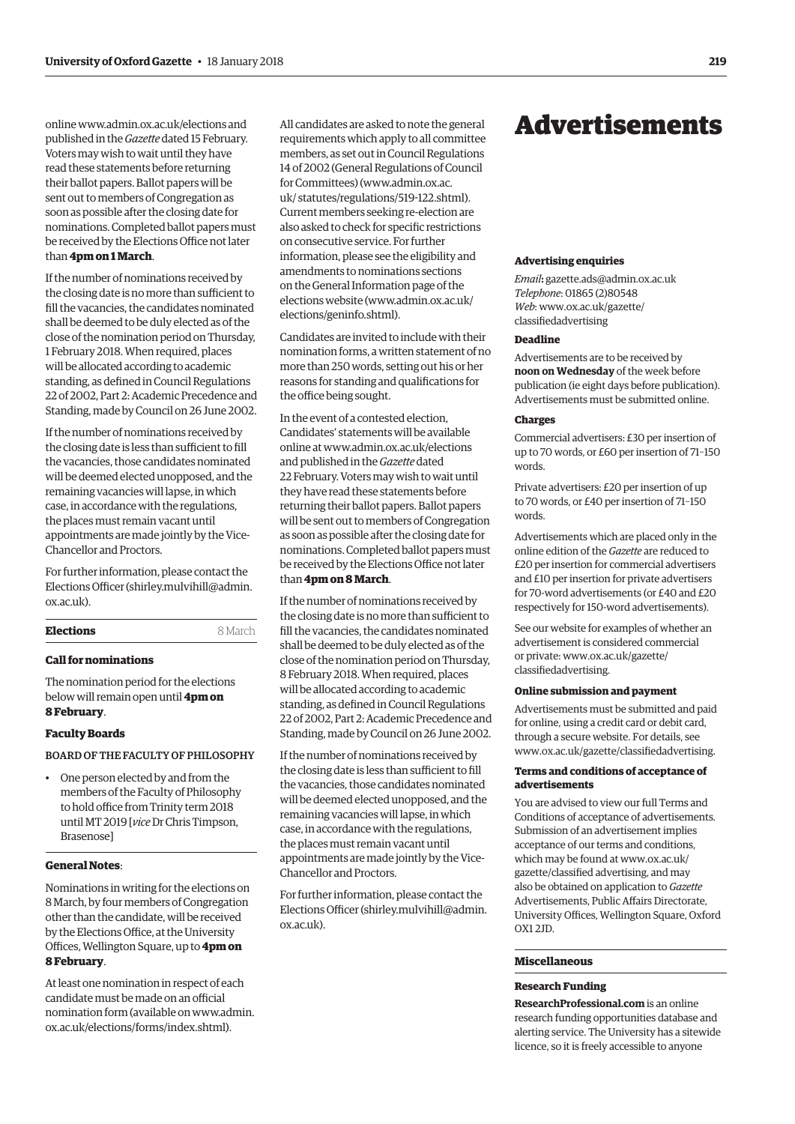<span id="page-8-0"></span>online [www.admin.ox.ac.uk/elections an](http://www.admin.ox.ac.uk/elections)d published in the *Gazette* dated 15 February. Voters may wish to wait until they have read these statements before returning their ballot papers. Ballot papers will be sent out to members of Congregation as soon as possible after the closing date for nominations. Completed ballot papers must be received by the Elections Office not later than **4pm on 1 March**.

If the number of nominations received by the closing date is no more than sufficient to fill the vacancies, the candidates nominated shall be deemed to be duly elected as of the close of the nomination period on Thursday, 1 February 2018. When required, places will be allocated according to academic standing, as defined in Council Regulations 22 of 2002, Part 2: Academic Precedence and Standing, made by Council on 26 June 2002.

If the number of nominations received by the closing date is less than sufficient to fill the vacancies, those candidates nominated will be deemed elected unopposed, and the remaining vacancies will lapse, in which case, in accordance with the regulations, the places must remain vacant until appointments are made jointly by the Vice-Chancellor and Proctors.

For further information, please contact the Elections Officer [\(shirley.mulvihill@admin.](mailto:shirley.mulvihill@admin.ox.ac.uk) [ox.ac.uk\).](mailto:shirley.mulvihill@admin.ox.ac.uk)

| Elections | 8 March |
|-----------|---------|
|           |         |

# **Call for nominations**

The nomination period for the elections below will remain open until **4pm on 8 February**.

#### **Faculty Boards**

BOARD OF THE FACULTY OF PHILOSOPHY

• One person elected by and from the members of the Faculty of Philosophy to hold office from Trinity term 2018 until MT 2019 [*vice* Dr Chris Timpson, Brasenose]

#### **General Notes**:

Nominations in writing for the elections on 8 March, by four members of Congregation other than the candidate, will be received by the Elections Office, at the University Offices, Wellington Square, up to **4pm on 8 February**.

At least one nomination in respect of each candidate must be made on an official [nomination form \(available on www.admin.](www.admin.ox.ac.uk/elections/forms/index.shtml) ox.ac.uk/elections/forms/index.shtml).

All candidates are asked to note the general requirements which apply to all committee members, as set out in Council Regulations 14 of 2002 (General Regulations of Council for Committees) [\(www.admin.ox.ac.](http://www.admin.ox.ac.uk/statutes/regulations/519-122.shtml) [uk/ statutes/regulations/519-122.shtml\).](http://www.admin.ox.ac.uk/statutes/regulations/519-122.shtml)  Current members seeking re-election are also asked to check for specific restrictions on consecutive service. For further information, please see the eligibility and amendments to nominations sections on the General Information page of the elections website ([www.admin.ox.ac.uk/](http://www.admin.ox.ac.uk/elections/geninfo.shtml)  [elections/geninfo.shtml\).](http://www.admin.ox.ac.uk/elections/geninfo.shtml)

Candidates are invited to include with their nomination forms, a written statement of no more than 250 words, setting out his or her reasons for standing and qualifications for the office being sought.

In the event of a contested election, Candidates' statements will be available online at [www.admin.ox.ac.uk/elections](http://www.admin.ox.ac.uk/elections)  and published in the *Gazette* dated 22 February. Voters may wish to wait until they have read these statements before returning their ballot papers. Ballot papers will be sent out to members of Congregation as soon as possible after the closing date for nominations. Completed ballot papers must be received by the Elections Office not later than **4pm on 8 March**.

If the number of nominations received by the closing date is no more than sufficient to fill the vacancies, the candidates nominated shall be deemed to be duly elected as of the close of the nomination period on Thursday, 8 February 2018. When required, places will be allocated according to academic standing, as defined in Council Regulations 22 of 2002, Part 2: Academic Precedence and Standing, made by Council on 26 June 2002.

If the number of nominations received by the closing date is less than sufficient to fill the vacancies, those candidates nominated will be deemed elected unopposed, and the remaining vacancies will lapse, in which case, in accordance with the regulations, the places must remain vacant until appointments are made jointly by the Vice-Chancellor and Proctors.

For further information, please contact the Elections Officer ([shirley.mulvihill@admin.](mailto:shirley.mulvihill@admin.ox.ac.uk)  [ox.ac.uk\).](mailto:shirley.mulvihill@admin.ox.ac.uk) 

# Advertisements

#### **Advertising enquiries**

*Email***:** [gazette.ads@admin.ox.ac.uk](mailto:gazette.ads@admin.ox.ac.uk) *Telephone*: 01865 (2)80548 *Web*[: www.ox.ac.uk/gazette/](www.ox.ac.uk/gazette/classifiedadvertising) classifiedadvertising

# **Deadline**

Advertisements are to be received by **noon on Wednesday** of the week before publication (ie eight days before publication). Advertisements must be submitted online.

#### **Charges**

Commercial advertisers: £30 per insertion of up to 70 words, or £60 per insertion of 71–150 words.

Private advertisers: £20 per insertion of up to 70 words, or £40 per insertion of 71–150 words.

Advertisements which are placed only in the online edition of the *Gazette* are reduced to £20 per insertion for commercial advertisers and £10 per insertion for private advertisers for 70-word advertisements (or £40 and £20 respectively for 150-word advertisements).

See our website for examples of whether an advertisement is considered commercial [or private: www.ox.ac.uk/gazette/](www.ox.ac.uk/gazette/classifiedadvertising) classifiedadvertising.

#### **Online submission and payment**

Advertisements must be submitted and paid for online, using a credit card or debit card, through a secure website. For details, see [www.ox.ac.uk/gazette/classifiedadvertising.](http://www.ox.ac.uk/gazette/classifiedadvertising)

#### **Terms and conditions of acceptance of advertisements**

You are advised to view our full Terms and Conditions of acceptance of advertisements. Submission of an advertisement implies acceptance of our terms and conditions, which may be found at www.ox.ac.uk/ [gazette/classified advertising, and may](www.ox.ac.uk/gazette/classifiedadvertising)  also be obtained on application to *Gazette* Advertisements, Public Affairs Directorate, University Offices, Wellington Square, Oxford OX1 2JD.

# **Miscellaneous**

# **Research Funding**

**ResearchProfessional.com** is an online research funding opportunities database and alerting service. The University has a sitewide licence, so it is freely accessible to anyone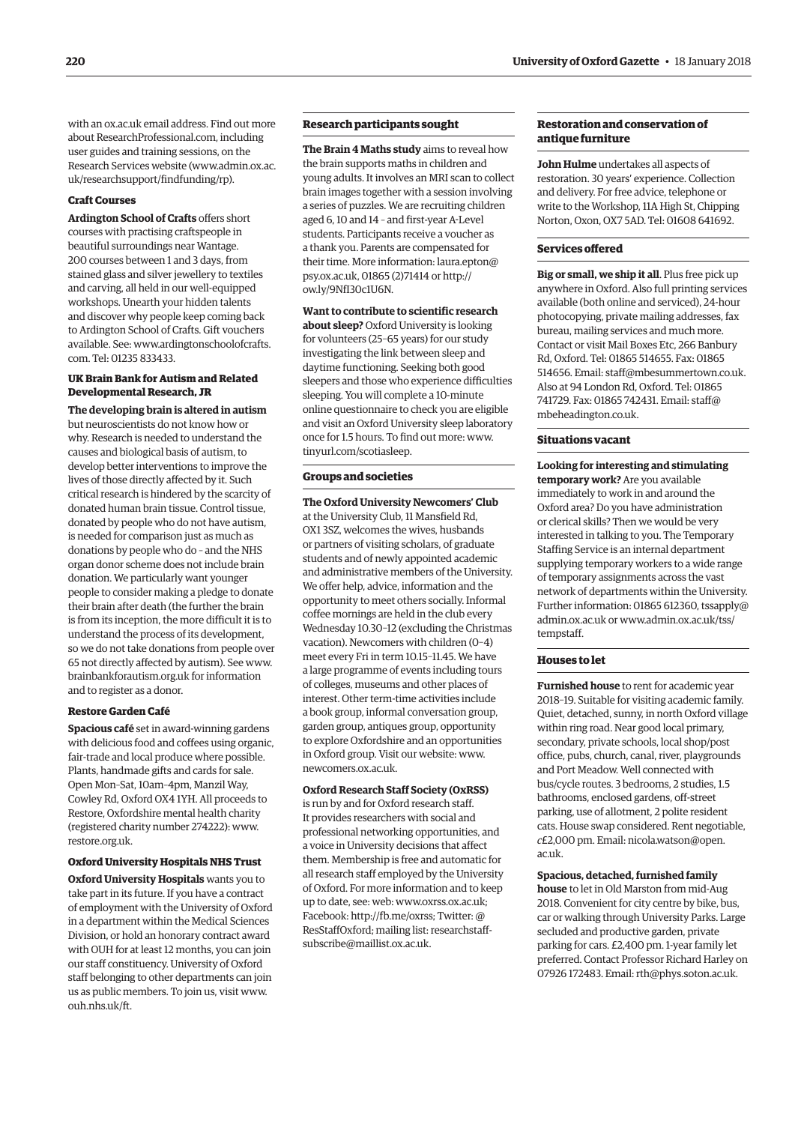with an ox.ac.uk email address. Find out more about ResearchProfessional.com, including user guides and training sessions, on the Research Services website [\(www.admin.ox.ac.](http://www.admin.ox.ac.uk/researchsupport/findfunding/rp) [uk/researchsupport/findfunding/rp\).](http://www.admin.ox.ac.uk/researchsupport/findfunding/rp)

#### **Craft Courses**

**Ardington School of Crafts** offers short courses with practising craftspeople in beautiful surroundings near Wantage. 200 courses between 1 and 3 days, from stained glass and silver jewellery to textiles and carving, all held in our well-equipped workshops. Unearth your hidden talents and discover why people keep coming back to Ardington School of Crafts. Gift vouchers [available. See: www.ardingtonschoolofcrafts.](www.ardingtonschoolofcrafts.com) com. Tel: 01235 833433.

## **UK Brain Bank for Autism and Related Developmental Research, JR**

**The developing brain is altered in autism**  but neuroscientists do not know how or why. Research is needed to understand the causes and biological basis of autism, to develop better interventions to improve the lives of those directly affected by it. Such critical research is hindered by the scarcity of donated human brain tissue. Control tissue, donated by people who do not have autism, is needed for comparison just as much as donations by people who do – and the NHS organ donor scheme does not include brain donation. We particularly want younger people to consider making a pledge to donate their brain after death (the further the brain is from its inception, the more difficult it is to understand the process of its development, so we do not take donations from people over 65 not directly affected by autism). See [www.](http://www.brainbankforautism.org.uk) [brainbankforautism.org.uk fo](http://www.brainbankforautism.org.uk)r information and to register as a donor.

#### **Restore Garden Café**

**Spacious café** set in award-winning gardens with delicious food and coffees using organic, fair-trade and local produce where possible. Plants, handmade gifts and cards for sale. Open Mon–Sat, 10am–4pm, Manzil Way, Cowley Rd, Oxford OX4 1YH. All proceeds to Restore, Oxfordshire mental health charity (registered charity number 274222): [www.](http://www.restore.org.uk) [restore.org.uk.](http://www.restore.org.uk)

#### **Oxford University Hospitals NHS Trust**

**Oxford University Hospitals** wants you to take part in its future. If you have a contract of employment with the University of Oxford in a department within the Medical Sciences Division, or hold an honorary contract award with OUH for at least 12 months, you can join our staff constituency. University of Oxford staff belonging to other departments can join us as public members. To join us, visit [www.](http://www.ouh.nhs.uk/ft) [ouh.nhs.uk/ft.](http://www.ouh.nhs.uk/ft)

# **Research participants sought**

**The Brain 4 Maths study** aims to reveal how the brain supports maths in children and young adults. It involves an MRI scan to collect brain images together with a session involving a series of puzzles. We are recruiting children aged 6, 10 and 14 – and first-year A-Level students. Participants receive a voucher as a thank you. Parents are compensated for their time. More infor[mation: laura.epton@](mailto:laura.epton@psy.ox.ac.uk) psy.ox.ac.uk, 01865 (2)71414 or [http://](http://ow.ly/9NfI30c1U6N) [ow.ly/9NfI30c1U6N.](http://ow.ly/9NfI30c1U6N)

#### **Want to contribute to scientific research**

**about sleep?** Oxford University is looking for volunteers (25–65 years) for our study investigating the link between sleep and daytime functioning. Seeking both good sleepers and those who experience difficulties sleeping. You will complete a 10-minute online questionnaire to check you are eligible and visit an Oxford University sleep laboratory once for 1.5 hours. To find out more: [www.](http://www.tinyurl.com/scotiasleep) [tinyurl.com/scotiasleep.](http://www.tinyurl.com/scotiasleep)

# **Groups and societies**

**The Oxford University Newcomers' Club** at the University Club, 11 Mansfield Rd, OX1 3SZ, welcomes the wives, husbands or partners of visiting scholars, of graduate students and of newly appointed academic and administrative members of the University. We offer help, advice, information and the opportunity to meet others socially. Informal coffee mornings are held in the club every Wednesday 10.30–12 (excluding the Christmas vacation). Newcomers with children (0–4) meet every Fri in term 10.15–11.45. We have a large programme of events including tours of colleges, museums and other places of interest. Other term-time activities include a book group, informal conversation group, garden group, antiques group, opportunity to explore Oxfordshire and an opportunities in Oxford group. Visit our website: [www.](http://www.newcomers.ox.ac.uk) [newcomers.ox.ac.uk.](http://www.newcomers.ox.ac.uk)

#### **Oxford Research Staff Society (OxRSS)**

is run by and for Oxford research staff. It provides researchers with social and professional networking opportunities, and a voice in University decisions that affect them. Membership is free and automatic for all research staff employed by the University of Oxford. For more information and to keep up to date, see: web: [www.oxrss.ox.ac.uk;](http://www.oxrss.ox.ac.uk)  Facebook: [http://fb.me/oxrss; Tw](http://fb.me/oxrss)itter: @ [ResStaffOxford; mailing list: researchstaff](mailto:researchstaff-subscribe@maillist.ox.ac.uk)subscribe@maillist.ox.ac.uk.

# **Restoration and conservation of antique furniture**

**John Hulme** undertakes all aspects of restoration. 30 years' experience. Collection and delivery. For free advice, telephone or write to the Workshop, 11A High St, Chipping Norton, Oxon, OX7 5AD. Tel: 01608 641692.

#### **Services offered**

**Big or small, we ship it all**. Plus free pick up anywhere in Oxford. Also full printing services available (both online and serviced), 24-hour photocopying, private mailing addresses, fax bureau, mailing services and much more. Contact or visit Mail Boxes Etc, 266 Banbury Rd, Oxford. Tel: 01865 514655. Fax: 01865 514656. Email: [staff@mbesummertown.co.uk.](mailto:staff@mbesummertown.co.uk)  Also at 94 London Rd, Oxford. Tel: 01865 [741729. Fax: 01865 742431. Email: staff@](mailto:staff@mbeheadington.co.uk) mbeheadington.co.uk.

#### **Situations vacant**

**Looking for interesting and stimulating temporary work?** Are you available immediately to work in and around the Oxford area? Do you have administration or clerical skills? Then we would be very interested in talking to you. The Temporary Staffing Service is an internal department supplying temporary workers to a wide range of temporary assignments across the vast network of departments within the University. Further information: 0[1865 612360, tssapply@](mailto:tssapply@admin.ox.ac.uk) admin.ox.ac.uk [or www.admin.ox.ac.uk/tss/](www.admin.ox.ac.uk/tss/tempstaff) tempstaff.

#### **Houses to let**

**Furnished house** to rent for academic year 2018–19. Suitable for visiting academic family. Quiet, detached, sunny, in north Oxford village within ring road. Near good local primary, secondary, private schools, local shop/post office, pubs, church, canal, river, playgrounds and Port Meadow. Well connected with bus/cycle routes. 3 bedrooms, 2 studies, 1.5 bathrooms, enclosed gardens, off-street parking, use of allotment, 2 polite resident cats. House swap considered. Rent negotiable, *c*[£2,000 pm. Email: nicola.watson@open.](mailto:nicola.watson@open.ac.uk) ac.uk.

#### **Spacious, detached, furnished family**

**house** to let in Old Marston from mid-Aug 2018. Convenient for city centre by bike, bus, car or walking through University Parks. Large secluded and productive garden, private parking for cars. £2,400 pm. 1-year family let preferred. Contact Professor Richard Harley on 07926 172483. Email: [rth@phys.soton.ac.uk.](mailto:rth@phys.soton.ac.uk)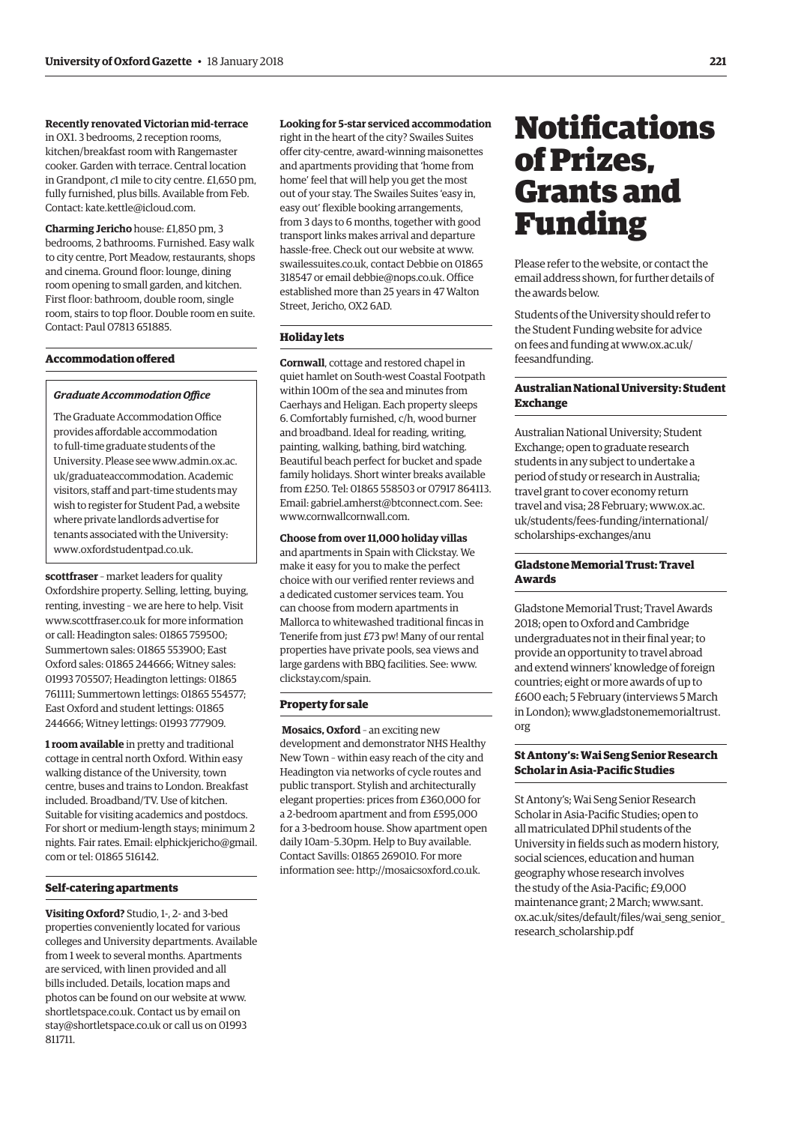<span id="page-10-0"></span>**Recently renovated Victorian mid-terrace**

in OX1. 3 bedrooms, 2 reception rooms, kitchen/breakfast room with Rangemaster cooker. Garden with terrace. Central location in Grandpont, *c*1 mile to city centre. £1,650 pm, fully furnished, plus bills. Available from Feb. Contact: [kate.kettle@icloud.com.](mailto:kate.kettle@icloud.com)

**Charming Jericho** house: £1,850 pm, 3 bedrooms, 2 bathrooms. Furnished. Easy walk to city centre, Port Meadow, restaurants, shops and cinema. Ground floor: lounge, dining room opening to small garden, and kitchen. First floor: bathroom, double room, single room, stairs to top floor. Double room en suite. Contact: Paul 07813 651885.

# **Accommodation offered**

#### *Graduate Accommodation Office*

The Graduate Accommodation Office provides affordable accommodation to full-time graduate students of the [University. Please see www.admin.ox.ac.](www.admin.ox.ac.uk/graduateaccommodation) uk/graduateaccommodation. Academic visitors, staff and part-time students may wish to register for Student Pad, a website where private landlords advertise for tenants associated with the University: [www.oxfordstudentpad.co.uk.](http://www.oxfordstudentpad.co.uk)

**scottfraser** – market leaders for quality Oxfordshire property. Selling, letting, buying, renting, investing – we are here to help. Visit [www.scottfraser.co.uk fo](http://www.scottfraser.co.uk)r more information or call: Headington sales: 01865 759500; Summertown sales: 01865 553900; East Oxford sales: 01865 244666; Witney sales: 01993 705507; Headington lettings: 01865 761111; Summertown lettings: 01865 554577; East Oxford and student lettings: 01865 244666; Witney lettings: 01993 777909.

**1 room available** in pretty and traditional cottage in central north Oxford. Within easy walking distance of the University, town centre, buses and trains to London. Breakfast included. Broadband/TV. Use of kitchen. Suitable for visiting academics and postdocs. For short or medium-length stays; minimum 2 [nights. Fair rates. Email: elphickjericho@gmail.](mailto:elphickjericho@gmail.com) com or tel: 01865 516142.

# **Self-catering apartments**

**Visiting Oxford?** Studio, 1-, 2- and 3-bed properties conveniently located for various colleges and University departments. Available from 1 week to several months. Apartments are serviced, with linen provided and all bills included. Details, location maps and photos can be found on our website at [www.](http://www.shortletspace.co.uk) [shortletspace.co.uk. Co](http://www.shortletspace.co.uk)ntact us by email on [stay@shortletspace.co.uk or](mailto:stay@shortletspace.co.uk) call us on 01993 811711.

## **Looking for 5-star serviced accommodation**

right in the heart of the city? Swailes Suites offer city-centre, award-winning maisonettes and apartments providing that 'home from home' feel that will help you get the most out of your stay. The Swailes Suites 'easy in, easy out' flexible booking arrangements, from 3 days to 6 months, together with good transport links makes arrival and departure hassle-free. Check out our website at [www.](http://www.swailessuites.co.uk) [swailessuites.co.uk, co](http://www.swailessuites.co.uk)ntact Debbie on 01865 318547 or email [debbie@nops.co.uk. Of](mailto:debbie@nops.co.uk)fice established more than 25 years in 47 Walton Street, Jericho, OX2 6AD.

### **Holiday lets**

**Cornwall**, cottage and restored chapel in quiet hamlet on South-west Coastal Footpath within 100m of the sea and minutes from Caerhays and Heligan. Each property sleeps 6. Comfortably furnished, c/h, wood burner and broadband. Ideal for reading, writing, painting, walking, bathing, bird watching. Beautiful beach perfect for bucket and spade family holidays. Short winter breaks available from £250. Tel: 01865 558503 or 07917 864113. Email: [gabriel.amherst@btconnect.com. Se](mailto:gabriel.amherst@btconnect.com)e: [www.cornwallcornwall.com.](http://www.cornwallcornwall.com)

**Choose from over 11,000 holiday villas**

and apartments in Spain with Clickstay. We make it easy for you to make the perfect choice with our verified renter reviews and a dedicated customer services team. You can choose from modern apartments in Mallorca to whitewashed traditional fincas in Tenerife from just £73 pw! Many of our rental properties have private pools, sea views and large gardens with BBQ facilities. See: [www.](http://www.clickstay.com/spain) [clickstay.com/spain.](http://www.clickstay.com/spain)

## **Property for sale**

 **Mosaics, Oxford** – an exciting new development and demonstrator NHS Healthy New Town – within easy reach of the city and Headington via networks of cycle routes and public transport. Stylish and architecturally elegant properties: prices from £360,000 for a 2-bedroom apartment and from £595,000 for a 3-bedroom house. Show apartment open daily 10am–5.30pm. Help to Buy available. Contact Savills: 01865 269010. For more information see: [http://mosaicsoxford.co.uk.](http://mosaicsoxford.co.uk)

# **Notifications** of Prizes, Grants and Funding

Please refer to the website, or contact the email address shown, for further details of the awards below.

Students of the University should refer to the Student Funding website for advice [on fees and funding at www.ox.ac.uk/](www.ox.ac.uk/feesandfunding) feesandfunding.

# **Australian National University: Student Exchange**

Australian National University; Student Exchange; open to graduate research students in any subject to undertake a period of study or research in Australia; travel grant to cover economy return travel and visa; 28 February; www.ox.ac. [uk/students/fees-funding/international/](www.ox.ac.uk/students/fees-funding/international/scholarships-exchanges/anu) scholarships-exchanges/anu

# **Gladstone Memorial Trust: Travel Awards**

Gladstone Memorial Trust; Travel Awards 2018; open to Oxford and Cambridge undergraduates not in their final year; to provide an opportunity to travel abroad and extend winners' knowledge of foreign countries; eight or more awards of up to £600 each; 5 February (interviews 5 March [in London\); www.gladstonememorialtrust.](www.gladstonememorialtrust.org) org

# **St Antony's: Wai Seng Senior Research Scholar in Asia-Pacific Studies**

St Antony's; Wai Seng Senior Research Scholar in Asia-Pacific Studies; open to all matriculated DPhil students of the University in fields such as modern history, social sciences, education and human geography whose research involves the study of the Asia-Pacific; £9,000 maintenance grant; 2 March; www.sant. [ox.ac.uk/sites/default/files/wai\\_seng\\_senior\\_](www.sant.ox.ac.uk/sites/default/files/wai_seng_senior_research_scholarship.pdf) research\_scholarship.pdf